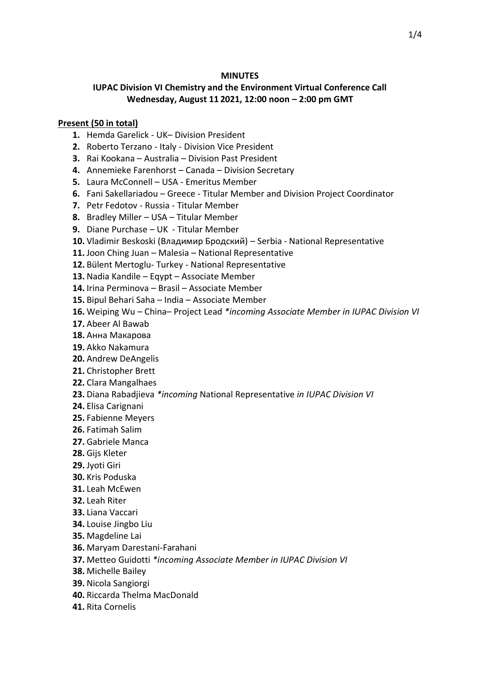#### **MINUTES**

# **IUPAC Division VI Chemistry and the Environment Virtual Conference Call Wednesday, August 11 2021, 12:00 noon – 2:00 pm GMT**

#### **Present (50 in total)**

- **1.** Hemda Garelick UK– Division President
- **2.** Roberto Terzano Italy Division Vice President
- **3.** Rai Kookana Australia Division Past President
- **4.** Annemieke Farenhorst Canada Division Secretary
- **5.** Laura McConnell USA Emeritus Member
- **6.** Fani Sakellariadou Greece Titular Member and Division Project Coordinator
- **7.** Petr Fedotov Russia Titular Member
- **8.** Bradley Miller USA Titular Member
- **9.** Diane Purchase UK Titular Member
- **10.** Vladimir Beskoski (Владимир Бродский) Serbia National Representative
- **11.** Joon Ching Juan Malesia National Representative
- **12.** Bülent Mertoglu- Turkey National Representative
- **13.** Nadia Kandile Eqypt Associate Member
- **14.** Irina Perminova Brasil Associate Member
- **15.** Bipul Behari Saha India Associate Member
- **16.** Weiping Wu China– Project Lead *\*incoming Associate Member in IUPAC Division VI*
- **17.** Abeer Al Bawab
- **18.** Анна Макарова
- **19.** Akko Nakamura
- **20.** Andrew DeAngelis
- **21.** Christopher Brett
- **22.** Clara Mangalhaes
- **23.** Diana Rabadjieva *\*incoming* National Representative *in IUPAC Division VI*
- **24.** Elisa Carignani
- **25.** Fabienne Meyers
- **26.** Fatimah Salim
- **27.** Gabriele Manca
- **28.** Gijs Kleter
- **29.** Jyoti Giri
- **30.** Kris Poduska
- **31.** Leah McEwen
- **32.** Leah Riter
- **33.** Liana Vaccari
- **34.** Louise Jingbo Liu
- **35.** Magdeline Lai
- **36.** Maryam Darestani-Farahani
- **37.** Metteo Guidotti *\*incoming Associate Member in IUPAC Division VI*
- **38.** Michelle Bailey
- **39.** Nicola Sangiorgi
- **40.** Riccarda Thelma MacDonald
- **41.** Rita Cornelis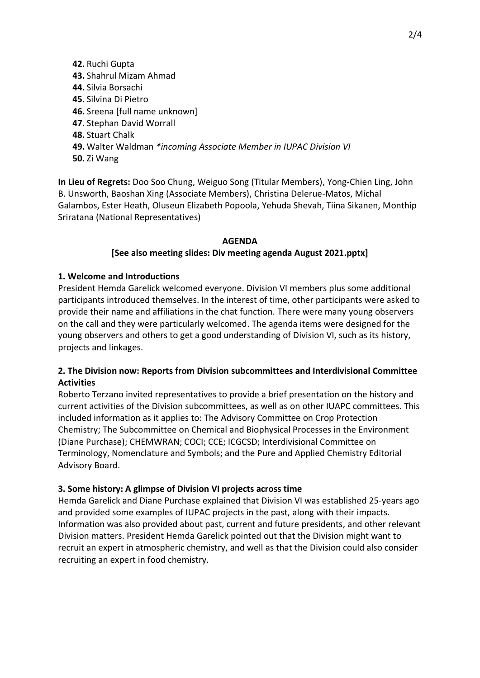**42.** Ruchi Gupta **43.** Shahrul Mizam Ahmad **44.** Silvia Borsachi **45.** Silvina Di Pietro **46.** Sreena [full name unknown] **47.** Stephan David Worrall **48.** Stuart Chalk **49.** Walter Waldman *\*incoming Associate Member in IUPAC Division VI* **50.** Zi Wang

**In Lieu of Regrets:** Doo Soo Chung, Weiguo Song (Titular Members), Yong-Chien Ling, John B. Unsworth, Baoshan Xing (Associate Members), Christina Delerue-Matos, Michal Galambos, Ester Heath, Oluseun Elizabeth Popoola, Yehuda Shevah, Tiina Sikanen, Monthip Sriratana (National Representatives)

### **AGENDA [See also meeting slides: Div meeting agenda August 2021.pptx]**

### **1. Welcome and Introductions**

President Hemda Garelick welcomed everyone. Division VI members plus some additional participants introduced themselves. In the interest of time, other participants were asked to provide their name and affiliations in the chat function. There were many young observers on the call and they were particularly welcomed. The agenda items were designed for the young observers and others to get a good understanding of Division VI, such as its history, projects and linkages.

## **2. The Division now: Reports from Division subcommittees and Interdivisional Committee Activities**

Roberto Terzano invited representatives to provide a brief presentation on the history and current activities of the Division subcommittees, as well as on other IUAPC committees. This included information as it applies to: The Advisory Committee on Crop Protection Chemistry; The Subcommittee on Chemical and Biophysical Processes in the Environment (Diane Purchase); CHEMWRAN; COCI; CCE; ICGCSD; Interdivisional Committee on Terminology, Nomenclature and Symbols; and the Pure and Applied Chemistry Editorial Advisory Board.

#### **3. Some history: A glimpse of Division VI projects across time**

Hemda Garelick and Diane Purchase explained that Division VI was established 25-years ago and provided some examples of IUPAC projects in the past, along with their impacts. Information was also provided about past, current and future presidents, and other relevant Division matters. President Hemda Garelick pointed out that the Division might want to recruit an expert in atmospheric chemistry, and well as that the Division could also consider recruiting an expert in food chemistry.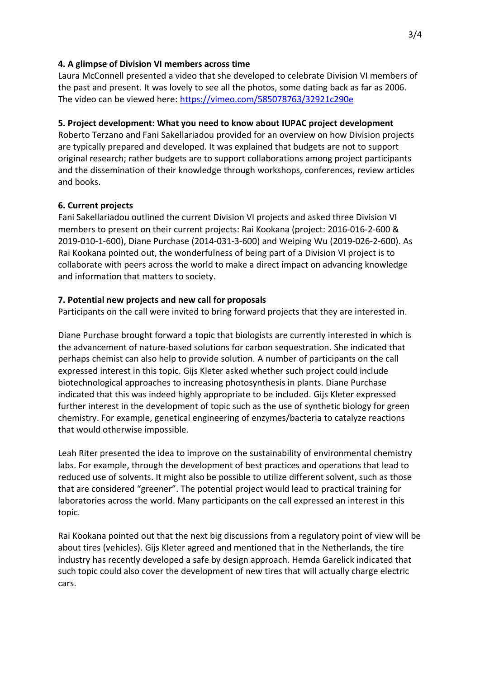### **4. A glimpse of Division VI members across time**

Laura McConnell presented a video that she developed to celebrate Division VI members of the past and present. It was lovely to see all the photos, some dating back as far as 2006. The video can be viewed here:<https://vimeo.com/585078763/32921c290e>

## **5. Project development: What you need to know about IUPAC project development**

Roberto Terzano and Fani Sakellariadou provided for an overview on how Division projects are typically prepared and developed. It was explained that budgets are not to support original research; rather budgets are to support collaborations among project participants and the dissemination of their knowledge through workshops, conferences, review articles and books.

## **6. Current projects**

Fani Sakellariadou outlined the current Division VI projects and asked three Division VI members to present on their current projects: Rai Kookana (project: 2016-016-2-600 & 2019-010-1-600), Diane Purchase (2014-031-3-600) and Weiping Wu (2019-026-2-600). As Rai Kookana pointed out, the wonderfulness of being part of a Division VI project is to collaborate with peers across the world to make a direct impact on advancing knowledge and information that matters to society.

### **7. Potential new projects and new call for proposals**

Participants on the call were invited to bring forward projects that they are interested in.

Diane Purchase brought forward a topic that biologists are currently interested in which is the advancement of nature-based solutions for carbon sequestration. She indicated that perhaps chemist can also help to provide solution. A number of participants on the call expressed interest in this topic. Gijs Kleter asked whether such project could include biotechnological approaches to increasing photosynthesis in plants. Diane Purchase indicated that this was indeed highly appropriate to be included. Gijs Kleter expressed further interest in the development of topic such as the use of synthetic biology for green chemistry. For example, genetical engineering of enzymes/bacteria to catalyze reactions that would otherwise impossible.

Leah Riter presented the idea to improve on the sustainability of environmental chemistry labs. For example, through the development of best practices and operations that lead to reduced use of solvents. It might also be possible to utilize different solvent, such as those that are considered "greener". The potential project would lead to practical training for laboratories across the world. Many participants on the call expressed an interest in this topic.

Rai Kookana pointed out that the next big discussions from a regulatory point of view will be about tires (vehicles). Gijs Kleter agreed and mentioned that in the Netherlands, the tire industry has recently developed a safe by design approach. Hemda Garelick indicated that such topic could also cover the development of new tires that will actually charge electric cars.